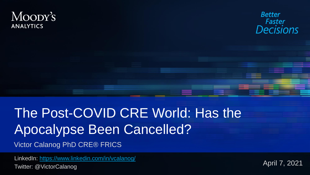#### MOODY'S **ANALYTICS**



# The Post-COVID CRE World: Has the Apocalypse Been Cancelled?

Victor Calanog PhD CRE® FRICS

LinkedIn:<https://www.linkedin.com/in/vcalanog/> Twitter: @VictorCalanog

April 7, 2021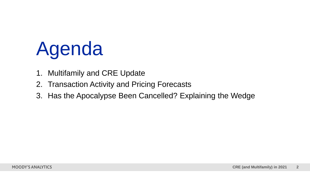# Agenda

- 1. Multifamily and CRE Update
- 2. Transaction Activity and Pricing Forecasts
- 3. Has the Apocalypse Been Cancelled? Explaining the Wedge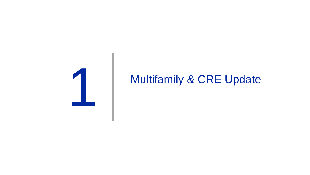

### Multifamily & CRE Update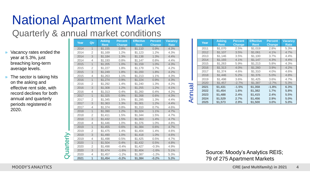# National Apartment Market

#### Quarterly & annual market conditions

- » Vacancy rates ended the year at 5.3%, just breaching long-term average levels.
- » The sector is taking hits on the asking and effective rent side, with record declines for both annual and quarterly periods registered in 2020.

| <b>Year</b> |      | Qtr            | <b>Asking</b> | <b>Percent</b> | <b>Effective</b> | <b>Percent</b> | <b>Vacancy</b> |
|-------------|------|----------------|---------------|----------------|------------------|----------------|----------------|
|             |      |                | <b>Rent</b>   | <b>Change</b>  | <b>Rent</b>      | <b>Change</b>  | <b>Rate</b>    |
|             | 2014 | $\overline{1}$ | \$1,155       | 0.8%           | \$1,110          | 0.9%           | 4.3%           |
|             | 2014 | $\overline{2}$ | \$1,169       | 1.2%           | \$1,123          | 1.2%           | 4.3%           |
|             | 2014 | 3              | \$1,184       | 1.3%           | \$1,138          | 1.3%           | 4.4%           |
|             | 2014 | 4              | \$1,193       | 0.8%           | \$1,147          | 0.8%           | 4.4%           |
|             | 2015 | $\mathbf{1}$   | \$1,205       | 1.0%           | \$1,159          | 1.0%           | 4.3%           |
|             | 2015 | $\overline{2}$ | \$1,227       | 1.8%           | \$1,179          | 1.7%           | 4.2%           |
|             | 2015 | 3              | \$1,249       | 1.8%           | \$1,200          | 1.8%           | 4.2%           |
|             | 2015 | $\overline{4}$ | \$1,263       | 1.1%           | \$1,213          | 1.1%           | 4.3%           |
|             | 2016 | $\overline{1}$ | \$1,274       | 0.9%           | \$1,224          | 0.9%           | 4.3%           |
|             | 2016 | $\overline{2}$ | \$1,292       | 1.4%           | \$1,240          | 1.3%           | 4.2%           |
|             | 2016 | 3              | \$1,308       | 1.2%           | \$1,255          | 1.2%           | 4.1%           |
|             | 2016 | 4              | \$1,313       | 0.4%           | \$1,260          | 0.4%           | 4.2%           |
|             | 2017 | $\overline{1}$ | \$1,325       | 0.9%           | \$1,268          | 0.6%           | 4.3%           |
|             | 2017 | $\overline{2}$ | \$1,345       | 1.5%           | \$1,285          | 1.3%           | 4.4%           |
|             | 2017 | 3              | \$1,363       | 1.3%           | \$1,301          | 1.2%           | 4.4%           |
|             | 2017 | $\overline{4}$ | \$1,374       | 0.8%           | \$1,310          | 0.7%           | 4.6%           |
|             | 2018 | $\mathbf{1}$   | \$1,390       | 1.2%           | \$1,324          | 1.1%           | 4.7%           |
|             | 2018 | $\overline{2}$ | \$1,411       | 1.5%           | \$1,344          | 1.5%           | 4.7%           |
|             | 2018 | 3              | \$1,432       | 1.5%           | \$1,363          | 1.4%           | 4.7%           |
|             | 2018 | $\overline{4}$ | \$1,446       | 1.0%           | \$1,376          | 1.0%           | 4.8%           |
|             | 2019 | $\overline{1}$ | \$1,455       | 0.6%           | \$1,384          | 0.6%           | 4.7%           |
|             | 2019 | $\overline{2}$ | \$1,475       | 1.4%           | \$1,404          | 1.4%           | 4.6%           |
|             | 2019 | 3              | \$1,490       | 1.0%           | \$1,418          | 1.0%           | 4.6%           |
|             | 2019 | $\overline{4}$ | \$1,498       | 0.5%           | \$1,425          | 0.5%           | 4.7%           |
|             | 2020 | $\overline{1}$ | \$1,504       | 0.4%           | \$1,432          | 0.5%           | 4.8%           |
|             | 2020 | $\overline{2}$ | \$1,498       | $-0.4%$        | \$1,427          | $-0.3%$        | 4.9%           |
|             | 2020 | 3              | \$1,474       | $-1.6%$        | \$1,404          | $-1.6%$        | 5.1%           |
|             | 2020 | 4              | \$1,457       | $-1.2%$        | \$1,387          | $-1.2%$        | 5.3%           |
|             | 2021 | $\overline{1}$ | \$1,454       | $-0.2%$        | \$1,384          | $-0.2%$        | 5.3%           |

|       | Year | <b>Asking</b> | <b>Percent</b> | <b>Effective</b> | <b>Percent</b> | <b>Vacancy</b> |
|-------|------|---------------|----------------|------------------|----------------|----------------|
|       |      | <b>Rent</b>   | <b>Change</b>  | <b>Rent</b>      | <b>Change</b>  | Rate           |
| Annua | 2011 | \$1,070       | 2.5%           | \$1,019          | 2.8%           | 5.3%           |
|       | 2012 | \$1.107       | 3.5%           | \$1.061          | 4.1%           | 4.7%           |
|       | 2013 | \$1.146       | 3.5%           | \$1.100          | 3.7%           | 4.4%           |
|       | 2014 | \$1,193       | 4.1%           | \$1,147          | 4.3%           | 4.4%           |
|       | 2015 | \$1,263       | 5.9%           | \$1,213          | 5.8%           | 4.3%           |
|       | 2016 | \$1.313       | 4.0%           | \$1,260          | 3.9%           | 4.2%           |
|       | 2017 | \$1.374       | 4.6%           | \$1.310          | 4.0%           | 4.6%           |
|       | 2018 | \$1,446       | 5.2%           | \$1,376          | 5.0%           | 4.8%           |
|       | 2019 | \$1.498       | 3.6%           | \$1.425          | 3.6%           | 4.7%           |
|       | 2020 | \$1,457       | $-2.7%$        | \$1,387          | $-2.7%$        | 5.3%           |
|       | 2021 | \$1.431       | $-1.5%$        | \$1,358          | $-1.8%$        | 6.3%           |
|       | 2022 | \$1,454       | 1.6%           | \$1,382          | 1.7%           | 5.8%           |
|       | 2023 | \$1.488       | 2.4%           | \$1.415          | 2.4%           | 5.5%           |
|       | 2024 | \$1.529       | 2.7%           | \$1,456          | 2.9%           | 5.0%           |
|       | 2025 | \$1,573       | 2.9%           | \$1,500          | 3.0%           | 5.0%           |

Source: Moody's Analytics REIS; 79 of 275 Apartment Markets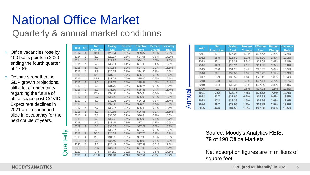# National Office Market

#### Quarterly & annual market conditions

- » Office vacancies rose by 100 basis points in 2020, ending the fourth quarter at 17.8%.
- » Despite strengthening GDP growth projections, still a lot of uncertainty regarding the future of office space post-COVID. Expect rent declines in 2021 and a continued slide in occupancy for the next couple of years.

|           | Year<br>Qtr |                | <b>Net</b>        | <b>Asking</b> | <b>Percent</b> | <b>Effective</b> | <b>Percent</b> | <b>Vacancy</b> |
|-----------|-------------|----------------|-------------------|---------------|----------------|------------------|----------------|----------------|
|           |             |                | <b>Absorption</b> | Rent          | <b>Change</b>  | <b>Rent</b>      | <b>Change</b>  | <b>Rate</b>    |
|           | 2014        | $\mathbf{1}$   | 10.1              | \$29.54       | 0.8%           | \$23.87          | 0.8%           | 17.0%          |
|           | 2014        | 2              | 2.0               | \$29.77       | 0.8%           | \$24.06          | 0.8%           | 17.1%          |
|           | 2014        | 3              | 7.3               | \$29.92       | 0.5%           | \$24.18          | 0.5%           | 17.0%          |
|           | 2014        | $\overline{4}$ | 9.9               | \$30.24       | 1.1%           | \$24.45          | 1.1%           | 16.9%          |
|           | 2015        | $\mathbf{1}$   | 4.9               | \$30.54       | 1.0%           | \$24.70          | 1.0%           | 16.8%          |
|           | 2015        | $\overline{2}$ | 8.3               | \$30.78       | 0.8%           | \$24.90          | 0.8%           | 16.7%          |
|           | 2015        | 3              | 12.2              | \$31.01       | 0.7%           | \$25.10          | 0.8%           | 16.6%          |
|           | 2015        | $\overline{4}$ | 12.7              | \$31.28       | 0.9%           | \$25.32          | 0.9%           | 16.5%          |
|           | 2016        | $\mathbf{1}$   | 8.2               | \$31.57       | 0.9%           | \$25.58          | 1.0%           | 16.4%          |
|           | 2016        | 2              | 5.1               | \$31.76       | 0.6%           | \$25.74          | 0.6%           | 16.4%          |
|           | 2016        | 3              | 2.9               | \$31.89       | 0.4%           | \$25.85          | 0.4%           | 16.4%          |
|           | 2016        | $\overline{4}$ | 12.9              | \$32.00       | 0.3%           | \$25.95          | 0.4%           | 16.3%          |
|           | 2017        | $\overline{1}$ | 5.7               | \$32.16       | 0.5%           | \$26.08          | 0.5%           | 16.3%          |
|           | 2017        | 2              | 4.9               | \$32.26       | 0.3%           | \$26.16          | 0.3%           | 16.4%          |
|           | 2017        | 3              | 5.6               | \$32.38       | 0.4%           | \$26.26          | 0.4%           | 16.4%          |
| uarterly  | 2017        | $\overline{4}$ | 7.7               | \$32.57       | 0.6%           | \$26.42          | 0.6%           | 16.4%          |
|           | 2018        | $\mathbf{1}$   | 6.2               | \$32.85       | 0.9%           | \$26.65          | 0.9%           | 16.5%          |
|           | 2018        | $\overline{2}$ | 2.8               | \$33.08       | 0.7%           | \$26.84          | 0.7%           | 16.6%          |
|           | 2018        | 3              | 5.2               | \$33.22       | 0.4%           | \$26.95          | 0.4%           | 16.7%          |
|           | 2018        | $\overline{4}$ | 9.6               | \$33.45       | 0.7%           | \$27.14          | 0.7%           | 16.7%          |
|           | 2019        | $\mathbf{1}$   | 5.1               | \$33.59       | 0.4%           | \$27.27          | 0.5%           | 16.7%          |
|           | 2019        | 2              | 5.3               | \$33.87       | 0.8%           | \$27.50          | 0.8%           | 16.8%          |
|           | 2019        | 3              | 10.0              | \$34.14       | 0.8%           | \$27.72          | 0.8%           | 16.8%          |
|           | 2019        | $\overline{4}$ | 15.2              | \$34.35       | 0.6%           | \$27.90          | 0.6%           | 16.8%          |
|           | 2020        | $\mathbf{1}$   | 0.0               | \$34.49       | 0.4%           | \$28.02          | 0.4%           | 17.0%          |
|           | 2020        | $\overline{2}$ | 3.1               | \$34.48       | 0.0%           | \$27.93          | $-0.3%$        | 17.1%          |
|           | 2020        | 3              | $-4.5$            | \$34.54       | 0.2%           | \$27.88          | $-0.2%$        | 17.4%          |
| $\bigcap$ | 2020        | $\overline{4}$ | $-7.8$            | \$34.51       | $-0.1%$        | \$27.73          | $-0.5%$        | 17.8%          |
|           | 2021        | $\overline{1}$ | $-15.8$           | \$34.40       | $-0.3%$        | \$27.51          | $-0.8%$        | 18.2%          |

|                                                                | Year | <b>Net</b>        | <b>Asking</b> | <b>Percent</b> | <b>Effective</b> | <b>Percent</b> | <b>Vacancy</b> |
|----------------------------------------------------------------|------|-------------------|---------------|----------------|------------------|----------------|----------------|
|                                                                |      | <b>Absorption</b> | <b>Rent</b>   | <b>Change</b>  | <b>Rent</b>      | <b>Change</b>  | <b>Rate</b>    |
|                                                                | 2011 | 17.7              | \$28.02       | 1.7%           | \$22.58          | 2.2%           | 17.4%          |
|                                                                | 2012 | 15.5              | \$28.60       | 2.1%           | \$23.09          | 2.3%           | 17.2%          |
|                                                                | 2013 | 25.1              | \$29.32       | 2.5%           | \$23.69          | 2.6%           | 17.0%          |
|                                                                | 2014 | 29.3              | \$30.24       | 3.1%           | \$24.45          | 3.2%           | 16.9%          |
|                                                                | 2015 | 38.0              | \$31.28       | 3.4%           | \$25.32          | 3.6%           | 16.5%          |
|                                                                | 2016 | 29.1              | \$32.00       | 2.3%           | \$25.95          | 2.5%           | 16.3%          |
|                                                                | 2017 | 23.9              | \$32.57       | 1.8%           | \$26.42          | 1.8%           | 16.4%          |
|                                                                | 2018 | 23.8              | \$33.45       | 2.7%           | \$27.14          | 2.7%           | 16.7%          |
|                                                                | 2019 | 35.4              | \$34.35       | 2.7%           | \$27.90          | 2.8%           | 16.8%          |
|                                                                | 2020 | $-9.2$            | \$34.51       | 0.5%           | \$27.73          | $-0.6%$        | 17.8%          |
| $\boldsymbol{\sigma}$<br>$\overline{\phantom{0}}$<br><b>NU</b> | 2021 | $-26.6$           | \$32.77       | $-4.9%$        | \$25.62          | $-7.5%$        | 19.4%          |
|                                                                | 2022 | 23.7              | \$32.85       | 0.2%           | \$25.72          | 0.4%           | 19.5%          |
|                                                                | 2023 | 17.2              | \$33,38       | 1.6%           | \$26.24          | 2.0%           | 19.6%          |
|                                                                | 2024 | 46.7              | \$33.96       | 1.7%           | \$26.89          | 2.5%           | 19.0%          |
|                                                                | 2025 | 44.6              | \$34.59       | 1.9%           | \$27.58          | 2.6%           | 18.5%          |

Source: Moody's Analytics REIS; 79 of 190 Office Markets

Net absorption figures are in millions of square feet.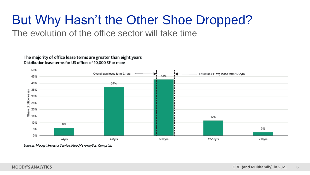#### But Why Hasn't the Other Shoe Dropped? The evolution of the office sector will take time

The majority of office lease terms are greater than eight years Distribution lease terms for US offices of 10,000 SF or more



Sources: Moody's Investor Service, Moody's Analytics, Compstak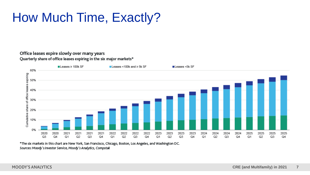# How Much Time, Exactly?

#### Office leases expire slowly over many years Quarterly share of office leases expiring in the six major markets\*



\*The six markets in this chart are New York, San Francisco, Chicago, Boston, Los Angeles, and Washington DC. Sources: Moody's Investor Service, Moody's Analytics, Compstak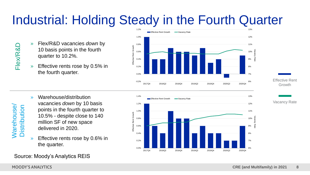# Industrial: Holding Steady in the Fourth Quarter

- » Flex/R&D vacancies *down* by 10 basis points in the fourth quarter to 10.2%.
- » Effective rents rose by 0.5% in the fourth quarter.



» Warehouse/distribution vacancies *down* by 10 basis points in the fourth quarter to 10.5% - despite close to 140 million SF of new space delivered in 2020.

**»** Effective rents rose by 0.6% in the quarter.

#### Source: Moody's Analytics REIS







Flex/R&D

**Narehouse/**<br>Distribution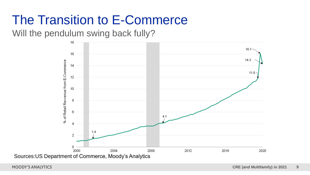## The Transition to E-Commerce

Will the pendulum swing back fully?

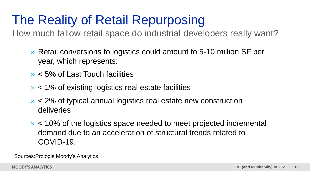# The Reality of Retail Repurposing

How much fallow retail space do industrial developers really want?

- » Retail conversions to logistics could amount to 5-10 million SF per year, which represents:
- » < 5% of Last Touch facilities
- » < 1% of existing logistics real estate facilities
- » < 2% of typical annual logistics real estate new construction deliveries
- » < 10% of the logistics space needed to meet projected incremental demand due to an acceleration of structural trends related to COVID-19.

Sources:Prologis,Moody's Analytics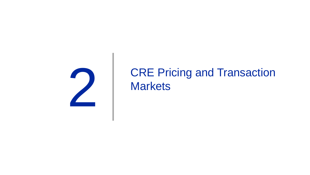

### CRE Pricing and Transaction **Markets**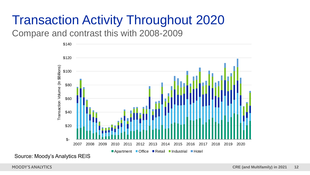# Transaction Activity Throughout 2020

Compare and contrast this with 2008-2009

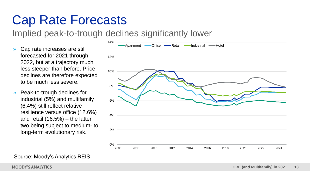### Cap Rate Forecasts

Implied peak-to-trough declines significantly lower

- » Cap rate increases are still forecasted for 2021 through 2022, but at a trajectory much less steeper than before. Price declines are therefore expected to be much less severe.
- » Peak-to-trough declines for industrial (5%) and multifamily (6.4%) still reflect relative resilience versus office (12.6%) and retail (16.5%) – the latter two being subject to medium- to long-term evolutionary risk.



Source: Moody's Analytics REIS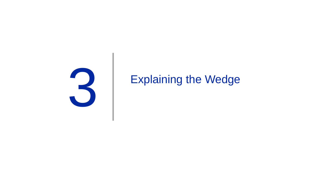

### Explaining the Wedge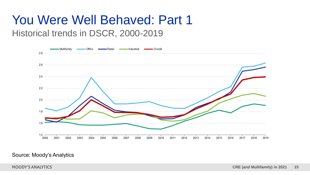#### Historical trends in DSCR, 2000-2019 You Were Well Behaved: Part 1



#### Source: Moody's Analytics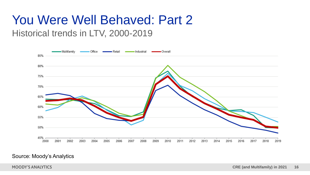#### Historical trends in LTV, 2000-2019 You Were Well Behaved: Part 2



#### Source: Moody's Analytics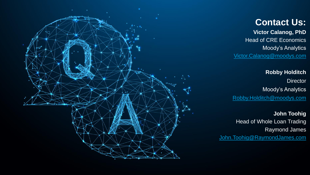

#### **Contact Us:**

**Victor Calanog, PhD** Head of CRE Economics Moody's Analytics [Victor.Calanog@moodys.com](mailto:Victor.Calanog@moodys.com)

**Robby Holditch Director** Moody's Analytics [Robby.Holditch@moodys.com](mailto:Robby.Holditch@moodys.com)

**John Toohig** Head of Whole Loan Trading Raymond James [John.Toohig@RaymondJames.com](mailto:John.Toohig@RaymondJames.com)